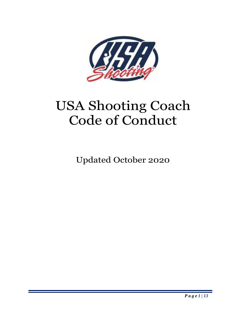

# USA Shooting Coach Code of Conduct

Updated October 2020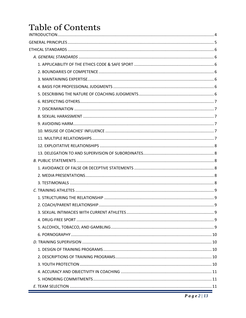# Table of Contents  $MTOOP$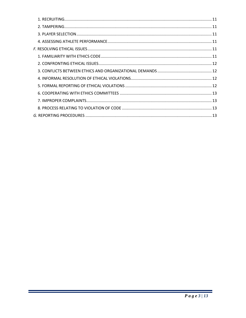Ξ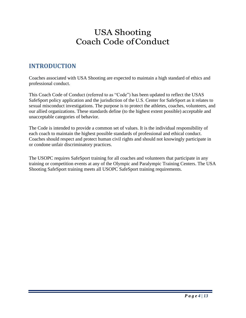# USA Shooting Coach Code ofConduct

# <span id="page-3-0"></span>**INTRODUCTION**

Coaches associated with USA Shooting are expected to maintain a high standard of ethics and professional conduct.

This Coach Code of Conduct (referred to as "Code") has been updated to reflect the USAS SafeSport policy application and the jurisdiction of the U.S. Center for SafeSport as it relates to sexual misconduct investigations. The purpose is to protect the athletes, coaches, volunteers, and our allied organizations. These standards define (to the highest extent possible) acceptable and unacceptable categories of behavior.

The Code is intended to provide a common set of values. It is the individual responsibility of each coach to maintain the highest possible standards of professional and ethical conduct. Coaches should respect and protect human civil rights and should not knowingly participate in or condone unfair discriminatory practices.

The USOPC requires SafeSport training for all coaches and volunteers that participate in any training or competition events at any of the Olympic and Paralympic Training Centers. The USA Shooting SafeSport training meets all USOPC SafeSport training requirements.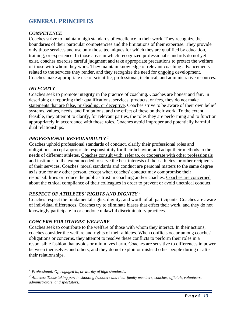# <span id="page-4-0"></span>**GENERAL PRINCIPLES**

# *COMPETENCE*

Coaches strive to maintain high standards of excellence in their work. They recognize the boundaries of their particular competencies and the limitations of their expertise. They provide only those services and use only those techniques for which they are qualified by education, training, or experience. In those areas in which recognized professional standards do not yet exist, coaches exercise careful judgment and take appropriate precautions to protect the welfare of those with whom they work. They maintain knowledge of relevant coaching advancements related to the services they render, and they recognize the need for ongoing development. Coaches make appropriate use of scientific, professional, technical, and administrative resources.

#### *INTEGRITY*

Coaches seek to promote integrity in the practice of coaching. Coaches are honest and fair. In describing or reporting their qualifications, services, products, or fees, they do not make statements that are false, misleading, or deceptive. Coaches strive to be aware of their own belief systems, values, needs, and limitations, and the effect of these on their work. To the extent feasible, they attempt to clarify, for relevant parties, the roles they are performing and to function appropriately in accordance with those roles. Coaches avoid improper and potentially harmful dual relationships.

#### *PROFESSIONAL RESPONSIBILITY <sup>1</sup>*

Coaches uphold professional standards of conduct, clarify their professional roles and obligations, accept appropriate responsibility for their behavior, and adapt their methods to the needs of different athletes. Coaches consult with, refer to, or cooperate with other professionals and institutes to the extent needed to serve the best interests of their athletes, or other recipients of their services. Coaches' moral standards and conduct are personal matters to the same degree as is true for any other person, except when coaches' conduct may compromise their responsibilities or reduce the public's trust in coaching and/or coaches. Coaches are concerned about the ethical compliance of their colleagues in order to prevent or avoid unethical conduct.

# *RESPECT OF ATHLETES' RIGHTS AND DIGNITY <sup>2</sup>*

Coaches respect the fundamental rights, dignity, and worth of all participants. Coaches are aware of individual differences. Coaches try to eliminate biases that effect their work, and they do not knowingly participate in or condone unlawful discriminatory practices.

#### *CONCERN FOR OTHERS' WELFARE*

Coaches seek to contribute to the welfare of those with whom they interact. In their actions, coaches consider the welfare and rights of their athletes. When conflicts occur among coaches' obligations or concerns, they attempt to resolve these conflicts to perform their roles in a responsible fashion that avoids or minimizes harm. Coaches are sensitive to differences in power between themselves and others, and they do not exploit or mislead other people during or after their relationships.

*<sup>1</sup> Professional: Of, engaged in, or worthy of high standards.*

*<sup>2</sup> Athletes: Those taking part in shooting (shooters and their family members, coaches, officials, volunteers, administrators, and spectators).*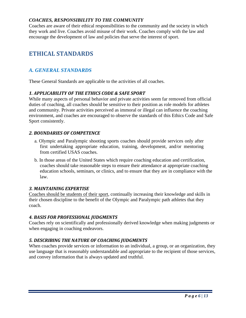# *COACHES, RESPONSIBILITY TO THE COMMUNITY*

Coaches are aware of their ethical responsibilities to the community and the society in which they work and live. Coaches avoid misuse of their work. Coaches comply with the law and encourage the development of law and policies that serve the interest of sport.

# <span id="page-5-0"></span>**ETHICAL STANDARDS**

# <span id="page-5-1"></span>*A. GENERAL STANDARDS*

These General Standards are applicable to the activities of all coaches.

# <span id="page-5-2"></span>*1. APPLICABILITY OF THE ETHICS CODE & SAFE SPORT*

While many aspects of personal behavior and private activities seem far removed from official duties of coaching, all coaches should be sensitive to their position as role models for athletes and community. Private activities perceived as immoral or illegal can influence the coaching environment, and coaches are encouraged to observe the standards of this Ethics Code and Safe Sport consistently.

# <span id="page-5-3"></span>*2. BOUNDARIES OF COMPETENCE*

- a. Olympic and Paralympic shooting sports coaches should provide services only after first undertaking appropriate education, training, development, and/or mentoring from certified USAS coaches.
- b. In those areas of the United States which require coaching education and certification, coaches should take reasonable steps to ensure their attendance at appropriate coaching education schools, seminars, or clinics, and to ensure that they are in compliance with the law.

# <span id="page-5-4"></span>*3. MAINTAINING EXPERTISE*

Coaches should be students of their sport, continually increasing their knowledge and skills in their chosen discipline to the benefit of the Olympic and Paralympic path athletes that they coach.

# <span id="page-5-5"></span>*4. BASIS FOR PROFESSIONAL JUDGMENTS*

Coaches rely on scientifically and professionally derived knowledge when making judgments or when engaging in coaching endeavors.

# <span id="page-5-6"></span>*5. DESCRIBING THE NATURE OF COACHING JUDGMENTS*

When coaches provide services or information to an individual, a group, or an organization, they use language that is reasonably understandable and appropriate to the recipient of those services, and convey information that is always updated and truthful.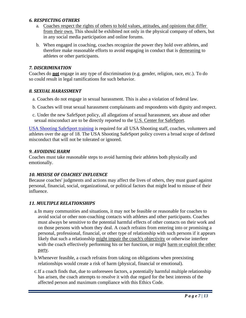#### <span id="page-6-0"></span>*6. RESPECTING OTHERS*

- a. Coaches respect the rights of others to hold values, attitudes, and opinions that differ from their own. This should be exhibited not only in the physical company of others, but in any social media participation and online forums.
- b. When engaged in coaching, coaches recognize the power they hold over athletes, and therefore make reasonable efforts to avoid engaging in conduct that is demeaning to athletes or other participants.

#### <span id="page-6-1"></span>*7. DISCRIMINATION*

Coaches do **not** engage in any type of discrimination (e.g. gender, religion, race, etc.). To do so could result in legal ramifications for such behavior.

#### <span id="page-6-2"></span>*8. SEXUAL HARASSMENT*

- a. Coaches do not engage in sexual harassment. This is also a violation of federal law.
- b. Coaches will treat sexual harassment complainants and respondents with dignity and respect.
- c. Under the new SafeSport policy, all allegations of sexual harassment, sex abuse and other sexual misconduct are to be directly reported to the U.S. Center for SafeSport.

[USA Shooting SafeSport training](https://www.usashooting.org/11-resources/safesport) is required for all USA Shooting staff, coaches, volunteers and athletes over the age of 18. The USA Shooting SafeSport policy covers a broad scope of defined misconduct that will not be tolerated or ignored.

# <span id="page-6-3"></span>*9. AVOIDING HARM*

Coaches must take reasonable steps to avoid harming their athletes both physically and emotionally.

# <span id="page-6-4"></span>*10. MISUSE OF COACHES' INFLUENCE*

Because coaches' judgments and actions may affect the lives of others, they must guard against personal, financial, social, organizational, or political factors that might lead to misuse of their influence.

# <span id="page-6-5"></span>*11. MULTIPLE RELATIONSHIPS*

- a.In many communities and situations, it may not be feasible or reasonable for coaches to avoid social or other non-coaching contacts with athletes and other participants. Coaches must always be sensitive to the potential harmful effects of other contacts on their work and on those persons with whom they deal. A coach refrains from entering into or promising a personal, professional, financial, or other type of relationship with such persons if it appears likely that such a relationship might impair the coach's objectivity or otherwise interfere with the coach effectively performing his or her function, or might harm or exploit the other party.
- b.Whenever feasible, a coach refrains from taking on obligations when preexisting relationships would create a risk of harm (physical, financial or emotional).
- c.If a coach finds that, due to unforeseen factors, a potentially harmful multiple relationship has arisen, the coach attempts to resolve it with due regard for the best interests of the affected person and maximum compliance with this Ethics Code.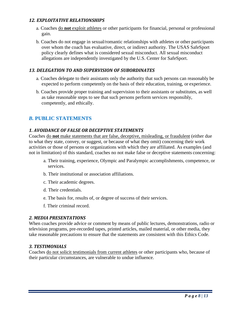#### <span id="page-7-0"></span>*12. EXPLOITATIVE RELATIONSHIPS*

- a. Coaches do **not** exploit athletes or other participants for financial, personal or professional gain.
- b. Coaches do not engage in sexual/romantic relationships with athletes or other participants over whom the coach has evaluative, direct, or indirect authority. The USAS SafeSport policy clearly defines what is considered sexual misconduct. All sexual misconduct allegations are independently investigated by the U.S. Center for SafeSport.

# <span id="page-7-1"></span>*13. DELEGATION TO AND SUPERVISION OF SUBORDINATES*

- a. Coaches delegate to their assistants only the authority that such persons can reasonably be expected to perform competently on the basis of their education, training, or experience.
- b. Coaches provide proper training and supervision to their assistants or substitutes, as well as take reasonable steps to see that such persons perform services responsibly, competently, and ethically.

# <span id="page-7-2"></span>*B.* **PUBLIC STATEMENTS**

#### <span id="page-7-3"></span>*1. AVOIDANCE OF FALSE OR DECEPTIVE STATEMENTS*

Coaches do **not** make statements that are false, deceptive, misleading, or fraudulent (either due to what they state, convey, or suggest, or because of what they omit) concerning their work activities or those of persons or organizations with which they are affiliated. As examples (and not in limitation) of this standard, coaches no not make false or deceptive statements concerning:

- a. Their training, experience, Olympic and Paralympic accomplishments, competence, or services.
- b. Their institutional or association affiliations.
- c. Their academic degrees.
- d. Their credentials.
- e. The basis for, results of, or degree of success of their services.
- f. Their criminal record.

#### <span id="page-7-4"></span>*2. MEDIA PRESENTATIONS*

When coaches provide advice or comment by means of public lectures, demonstrations, radio or television programs, pre-recorded tapes, printed articles, mailed material, or other media, they take reasonable precautions to ensure that the statements are consistent with this Ethics Code.

#### <span id="page-7-5"></span>*3. TESTIMONIALS*

Coaches do not solicit testimonials from current athletes or other participants who, because of their particular circumstances, are vulnerable to undue influence.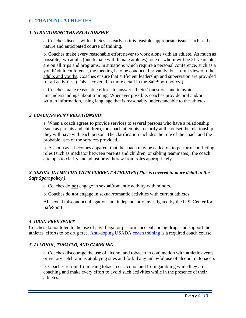# <span id="page-8-0"></span>*C.* **TRAINING ATHLETES**

#### <span id="page-8-1"></span>*1. STRUCTURING THE RELATIONSHIP*

a. Coaches discuss with athletes, as early as it is feasible, appropriate issues such as the nature and anticipated course of training.

b. Coaches make every reasonable effort never to work alone with an athlete. As much as possible, two adults (one female with female athletes), one of whom will be 21 years old, are on all trips and programs. In situations which require a personal conference, such as a youth/adult conference, the meeting is to be conducted privately, but in full view of other adults and youths. Coaches ensure that sufficient leadership and supervision are provided for all activities. (This is covered in more detail in the SafeSport policy.)

c. Coaches make reasonable efforts to answer athletes' questions and to avoid misunderstandings about training. Whenever possible, coaches provide oral and/or written information, using language that is reasonably understandable to the athletes.

#### <span id="page-8-2"></span>*2. COACH/PARENT RELATIONSHIP*

a. When a coach agrees to provide services to several persons who have a relationship (such as parents and children), the coach attempts to clarify at the outset the relationship they will have with each person. The clarification includes the role of the coach and the probable uses of the services provided.

b. As soon as it becomes apparent that the coach may be called on to perform conflicting roles (such as mediator between parents and children, or sibling teammates), the coach attempts to clarify and adjust or withdraw from roles appropriately.

# <span id="page-8-3"></span>*3. SEXUAL INTIMACIES WITH CURRENT ATHLETES (This is covered in more detail in the Safe Sport policy.)*

a. Coaches do **not** engage in sexual/romantic activity with minors.

b. Coaches do **not** engage in sexual/romantic activities with current athletes.

All sexual misconduct allegations are independently investigated by the U.S. Center for SafeSport.

#### <span id="page-8-4"></span>*4. DRUG-FREE SPORT*

Coaches do not tolerate the use of any illegal or performance enhancing drugs and support the athletes' efforts to be drug free. [Anti-doping USADA coach training](https://www.usada.org/resources/coach/) is a required coach course.

#### <span id="page-8-5"></span>*5. ALCOHOL, TOBACCO, AND GAMBLING*

a. Coaches discourage the use of alcohol and tobacco in conjunction with athletic events or victory celebrations at playing sites and forbid any unlawful use of alcohol or tobacco.

b. Coaches refrain from using tobacco or alcohol and from gambling while they are coaching and make every effort to avoid such activities while in the presence of their athletes.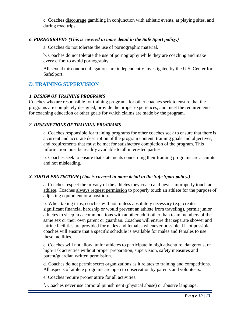c. Coaches discourage gambling in conjunction with athletic events, at playing sites, and during road trips.

#### <span id="page-9-0"></span>*6. PORNOGRAPHY (This is covered in more detail in the Safe Sport policy.)*

a. Coaches do not tolerate the use of pornographic material.

b. Coaches do not tolerate the use of pornography while they are coaching and make every effort to avoid pornography.

All sexual misconduct allegations are independently investigated by the U.S. Center for SafeSport.

# <span id="page-9-1"></span>*D.* **TRAINING SUPERVISION**

# <span id="page-9-2"></span>*1. DESIGN OF TRAINING PROGRAMS*

Coaches who are responsible for training programs for other coaches seek to ensure that the programs are completely designed, provide the proper experiences, and meet the requirements for coaching education or other goals for which claims are made by the program.

# <span id="page-9-3"></span>*2. DESCRIPTIONS OF TRAINING PROGRAMS*

a. Coaches responsible for training programs for other coaches seek to ensure that there is a current and accurate description of the program content, training goals and objectives, and requirements that must be met for satisfactory completion of the program. This information must be readily available to all interested parties.

b. Coaches seek to ensure that statements concerning their training programs are accurate and not misleading.

# <span id="page-9-4"></span>*3. YOUTH PROTECTION (This is covered in more detail in the Safe Sport policy.)*

a. Coaches respect the privacy of the athletes they coach and never improperly touch an athlete. Coaches always request permission to properly touch an athlete for the purpose of adjusting equipment or a position.

b. When taking trips, coaches will not, unless absolutely necessary (e.g. creates significant financial hardship or would prevent an athlete from traveling), permit junior athletes to sleep in accommodations with another adult other than team members of the same sex or their own parent or guardian. Coaches will ensure that separate shower and latrine facilities are provided for males and females whenever possible. If not possible, coaches will ensure that a specific schedule is available for males and females to use these facilities.

c. Coaches will not allow junior athletes to participate in high adventure, dangerous, or high-risk activities without proper preparation, supervision, safety measures and parent/guardian written permission.

d. Coaches do not permit secret organizations as it relates to training and competitions. All aspects of athlete programs are open to observation by parents and volunteers.

e. Coaches require proper attire for all activities.

f. Coaches never use corporal punishment (physical abuse) or abusive language.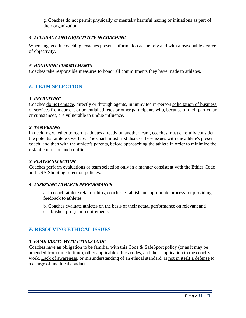g. Coaches do not permit physically or mentally harmful hazing or initiations as part of their organization.

# <span id="page-10-0"></span>*4. ACCURACY AND OBJECTIVITY IN COACHING*

When engaged in coaching, coaches present information accurately and with a reasonable degree of objectivity.

# <span id="page-10-1"></span>*5. HONORING COMMITMENTS*

Coaches take responsible measures to honor all commitments they have made to athletes.

# <span id="page-10-2"></span>*E.* **TEAM SELECTION**

# <span id="page-10-3"></span>*1. RECRUITING*

Coaches do **not** engage, directly or through agents, in uninvited in-person solicitation of business or services from current or potential athletes or other participants who, because of their particular circumstances, are vulnerable to undue influence.

# <span id="page-10-4"></span>*2. TAMPERING*

In deciding whether to recruit athletes already on another team, coaches must carefully consider the potential athlete's welfare. The coach must first discuss these issues with the athlete's present coach, and then with the athlete's parents, before approaching the athlete in order to minimize the risk of confusion and conflict.

# <span id="page-10-5"></span>*3. PLAYER SELECTION*

Coaches perform evaluations or team selection only in a manner consistent with the Ethics Code and USA Shooting selection policies.

# <span id="page-10-6"></span>*4. ASSESSING ATHLETE PERFORMANCE*

a. In coach-athlete relationships, coaches establish an appropriate process for providing feedback to athletes.

b. Coaches evaluate athletes on the basis of their actual performance on relevant and established program requirements.

# <span id="page-10-7"></span>*F.* **RESOLVING ETHICAL ISSUES**

# <span id="page-10-8"></span>*1. FAMILIARITY WITH ETHICS CODE*

Coaches have an obligation to be familiar with this Code & SafeSport policy (or as it may be amended from time to time), other applicable ethics codes, and their application to the coach's work. Lack of awareness, or misunderstanding of an ethical standard, is not in itself a defense to a charge of unethical conduct.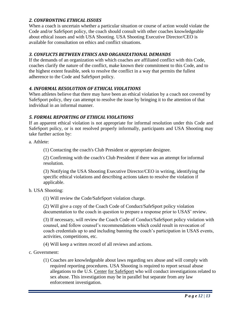# <span id="page-11-0"></span>*2. CONFRONTING ETHICAL ISSUES*

When a coach is uncertain whether a particular situation or course of action would violate the Code and/or SafeSport policy, the coach should consult with other coaches knowledgeable about ethical issues and with USA Shooting. USA Shooting Executive Director/CEO is available for consultation on ethics and conflict situations.

# <span id="page-11-1"></span>*3. CONFLICTS BETWEEN ETHICS AND ORGANIZATIONAL DEMANDS*

If the demands of an organization with which coaches are affiliated conflict with this Code, coaches clarify the nature of the conflict, make known their commitment to this Code, and to the highest extent feasible, seek to resolve the conflict in a way that permits the fullest adherence to the Code and SafeSport policy.

# <span id="page-11-2"></span>*4. INFORMAL RESOLUTION OF ETHICAL VIOLATIONS*

When athletes believe that there may have been an ethical violation by a coach not covered by SafeSport policy, they can attempt to resolve the issue by bringing it to the attention of that individual in an informal manner.

# <span id="page-11-3"></span>*5. FORMAL REPORTING OF ETHICAL VIOLATIONS*

If an apparent ethical violation is not appropriate for informal resolution under this Code and SafeSport policy, or is not resolved properly informally, participants and USA Shooting may take further action by:

a. Athlete:

(1) Contacting the coach's Club President or appropriate designee.

(2) Confirming with the coach's Club President if there was an attempt for informal resolution.

(3) Notifying the USA Shooting Executive Director/CEO in writing, identifying the specific ethical violations and describing actions taken to resolve the violation if applicable.

# b. USA Shooting:

(1) Will review the Code/SafeSport violation charge.

(2) Will give a copy of the Coach Code of Conduct/SafeSport policy violation documentation to the coach in question to prepare a response prior to USAS' review.

(3) If necessary, will review the Coach Code of Conduct/SafeSport policy violation with counsel, and follow counsel's recommendations which could result in revocation of coach credentials up to and including banning the coach's participation in USAS events, activities, competitions, etc.

(4) Will keep a written record of all reviews and actions.

- c. Government:
	- (1) Coaches are knowledgeable about laws regarding sex abuse and will comply with required reporting procedures. USA Shooting is required to report sexual abuse allegations to the U.S. Center for SafeSport who will conduct investigations related to sex abuse. This investigation may be in parallel but separate from any law enforcement investigation.